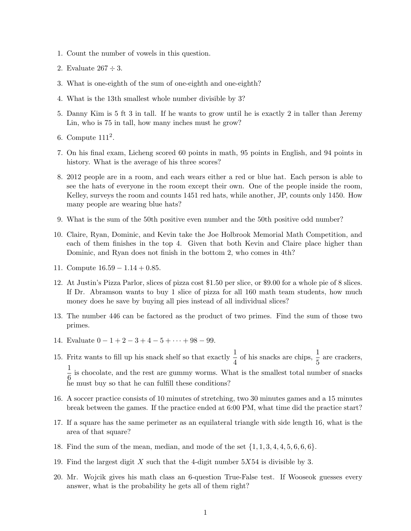- 1. Count the number of vowels in this question.
- 2. Evaluate  $267 \div 3$ .
- 3. What is one-eighth of the sum of one-eighth and one-eighth?
- 4. What is the 13th smallest whole number divisible by 3?
- 5. Danny Kim is 5 ft 3 in tall. If he wants to grow until he is exactly 2 in taller than Jeremy Lin, who is 75 in tall, how many inches must he grow?
- 6. Compute  $111^2$ .
- 7. On his final exam, Licheng scored 60 points in math, 95 points in English, and 94 points in history. What is the average of his three scores?
- 8. 2012 people are in a room, and each wears either a red or blue hat. Each person is able to see the hats of everyone in the room except their own. One of the people inside the room, Kelley, surveys the room and counts 1451 red hats, while another, JP, counts only 1450. How many people are wearing blue hats?
- 9. What is the sum of the 50th positive even number and the 50th positive odd number?
- 10. Claire, Ryan, Dominic, and Kevin take the Joe Holbrook Memorial Math Competition, and each of them finishes in the top 4. Given that both Kevin and Claire place higher than Dominic, and Ryan does not finish in the bottom 2, who comes in 4th?
- 11. Compute  $16.59 1.14 + 0.85$ .
- 12. At Justin's Pizza Parlor, slices of pizza cost \$1.50 per slice, or \$9.00 for a whole pie of 8 slices. If Dr. Abramson wants to buy 1 slice of pizza for all 160 math team students, how much money does he save by buying all pies instead of all individual slices?
- 13. The number 446 can be factored as the product of two primes. Find the sum of those two primes.
- 14. Evaluate  $0 1 + 2 3 + 4 5 + \cdots + 98 99$ .
- 15. Fritz wants to fill up his snack shelf so that exactly  $\frac{1}{4}$  of his snacks are chips,  $\frac{1}{5}$  are crackers, 1  $\frac{1}{6}$  is chocolate, and the rest are gummy worms. What is the smallest total number of snacks he must buy so that he can fulfill these conditions?
- 16. A soccer practice consists of 10 minutes of stretching, two 30 minutes games and a 15 minutes break between the games. If the practice ended at 6:00 PM, what time did the practice start?
- 17. If a square has the same perimeter as an equilateral triangle with side length 16, what is the area of that square?
- 18. Find the sum of the mean, median, and mode of the set  $\{1, 1, 3, 4, 4, 5, 6, 6, 6\}$ .
- 19. Find the largest digit X such that the 4-digit number  $5X54$  is divisible by 3.
- 20. Mr. Wojcik gives his math class an 6-question True-False test. If Wooseok guesses every answer, what is the probability he gets all of them right?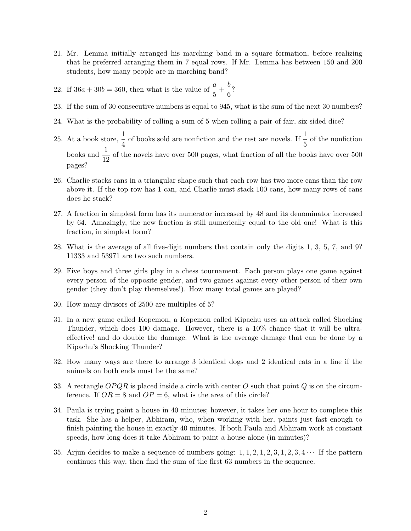- 21. Mr. Lemma initially arranged his marching band in a square formation, before realizing that he preferred arranging them in 7 equal rows. If Mr. Lemma has between 150 and 200 students, how many people are in marching band?
- 22. If  $36a + 30b = 360$ , then what is the value of  $\frac{a}{5} + \frac{b}{6}$  $\frac{5}{6}$ ?
- 23. If the sum of 30 consecutive numbers is equal to 945, what is the sum of the next 30 numbers?
- 24. What is the probability of rolling a sum of 5 when rolling a pair of fair, six-sided dice?
- 25. At a book store,  $\frac{1}{4}$  of books sold are nonfiction and the rest are novels. If  $\frac{1}{5}$  of the nonfiction books and  $\frac{1}{12}$  of the novels have over 500 pages, what fraction of all the books have over 500 pages?
- 26. Charlie stacks cans in a triangular shape such that each row has two more cans than the row above it. If the top row has 1 can, and Charlie must stack 100 cans, how many rows of cans does he stack?
- 27. A fraction in simplest form has its numerator increased by 48 and its denominator increased by 64. Amazingly, the new fraction is still numerically equal to the old one! What is this fraction, in simplest form?
- 28. What is the average of all five-digit numbers that contain only the digits 1, 3, 5, 7, and 9? 11333 and 53971 are two such numbers.
- 29. Five boys and three girls play in a chess tournament. Each person plays one game against every person of the opposite gender, and two games against every other person of their own gender (they don't play themselves!). How many total games are played?
- 30. How many divisors of 2500 are multiples of 5?
- 31. In a new game called Kopemon, a Kopemon called Kipachu uses an attack called Shocking Thunder, which does 100 damage. However, there is a 10% chance that it will be ultraeffective! and do double the damage. What is the average damage that can be done by a Kipachu's Shocking Thunder?
- 32. How many ways are there to arrange 3 identical dogs and 2 identical cats in a line if the animals on both ends must be the same?
- 33. A rectangle  $OPQR$  is placed inside a circle with center O such that point Q is on the circumference. If  $OR = 8$  and  $OP = 6$ , what is the area of this circle?
- 34. Paula is trying paint a house in 40 minutes; however, it takes her one hour to complete this task. She has a helper, Abhiram, who, when working with her, paints just fast enough to finish painting the house in exactly 40 minutes. If both Paula and Abhiram work at constant speeds, how long does it take Abhiram to paint a house alone (in minutes)?
- 35. Arjun decides to make a sequence of numbers going:  $1, 1, 2, 1, 2, 3, 1, 2, 3, 4 \cdots$  If the pattern continues this way, then find the sum of the first 63 numbers in the sequence.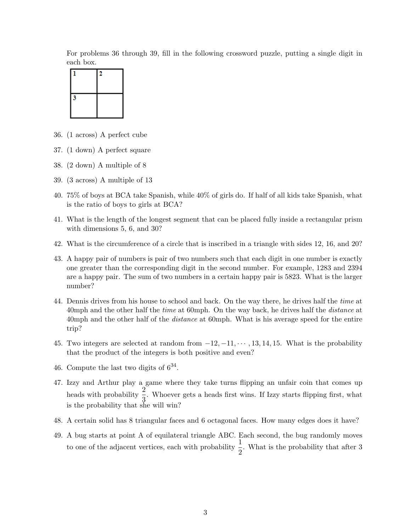For problems 36 through 39, fill in the following crossword puzzle, putting a single digit in each box.



- 36. (1 across) A perfect cube
- 37. (1 down) A perfect square
- 38. (2 down) A multiple of 8
- 39. (3 across) A multiple of 13
- 40. 75% of boys at BCA take Spanish, while 40% of girls do. If half of all kids take Spanish, what is the ratio of boys to girls at BCA?
- 41. What is the length of the longest segment that can be placed fully inside a rectangular prism with dimensions 5, 6, and 30?
- 42. What is the circumference of a circle that is inscribed in a triangle with sides 12, 16, and 20?
- 43. A happy pair of numbers is pair of two numbers such that each digit in one number is exactly one greater than the corresponding digit in the second number. For example, 1283 and 2394 are a happy pair. The sum of two numbers in a certain happy pair is 5823. What is the larger number?
- 44. Dennis drives from his house to school and back. On the way there, he drives half the time at 40mph and the other half the *time* at 60mph. On the way back, he drives half the *distance* at 40mph and the other half of the *distance* at 60mph. What is his average speed for the entire trip?
- 45. Two integers are selected at random from  $-12, -11, \cdots, 13, 14, 15$ . What is the probability that the product of the integers is both positive and even?
- 46. Compute the last two digits of  $6^{34}$ .
- 47. Izzy and Arthur play a game where they take turns flipping an unfair coin that comes up heads with probability  $\frac{2}{3}$ . Whoever gets a heads first wins. If Izzy starts flipping first, what is the probability that she will win?
- 48. A certain solid has 8 triangular faces and 6 octagonal faces. How many edges does it have?
- 49. A bug starts at point A of equilateral triangle ABC. Each second, the bug randomly moves to one of the adjacent vertices, each with probability  $\frac{1}{2}$ . What is the probability that after 3